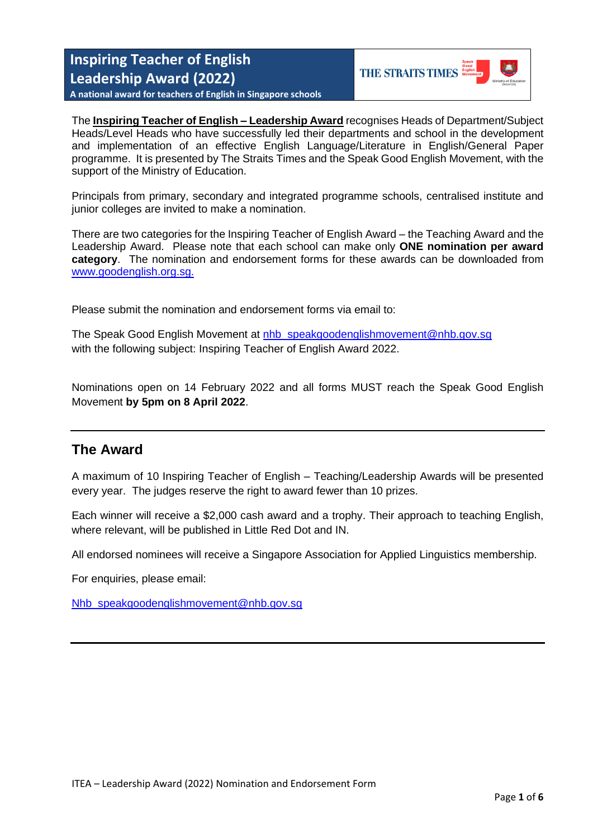**Inspiring Teacher of English Leadership Award (2022)**

**THE STRAITS TIMES** 

**A national award for teachers of English in Singapore schools**

The **Inspiring Teacher of English – Leadership Award** recognises Heads of Department/Subject Heads/Level Heads who have successfully led their departments and school in the development and implementation of an effective English Language/Literature in English/General Paper programme. It is presented by The Straits Times and the Speak Good English Movement, with the support of the Ministry of Education.

Principals from primary, secondary and integrated programme schools, centralised institute and junior colleges are invited to make a nomination.

There are two categories for the Inspiring Teacher of English Award – the Teaching Award and the Leadership Award. Please note that each school can make only **ONE nomination per award category**. The nomination and endorsement forms for these awards can be downloaded from [www.goodenglish.org.sg.](http://www.goodenglish.org.sg/)

Please submit the nomination and endorsement forms via email to:

The Speak Good English Movement at [nhb\\_speakgoodenglishmovement@nhb.gov.sg](mailto:nhb_speakgoodenglishmovement@nhb.gov.sg) with the following subject: Inspiring Teacher of English Award 2022.

Nominations open on 14 February 2022 and all forms MUST reach the Speak Good English Movement **by 5pm on 8 April 2022**.

### **The Award**

A maximum of 10 Inspiring Teacher of English – Teaching/Leadership Awards will be presented every year. The judges reserve the right to award fewer than 10 prizes.

Each winner will receive a \$2,000 cash award and a trophy. Their approach to teaching English, where relevant, will be published in Little Red Dot and IN.

All endorsed nominees will receive a Singapore Association for Applied Linguistics membership.

For enquiries, please email:

[Nhb\\_speakgoodenglishmovement@nhb.gov.sg](mailto:Nhb_speakgoodenglishmovement@nhb.gov.sg)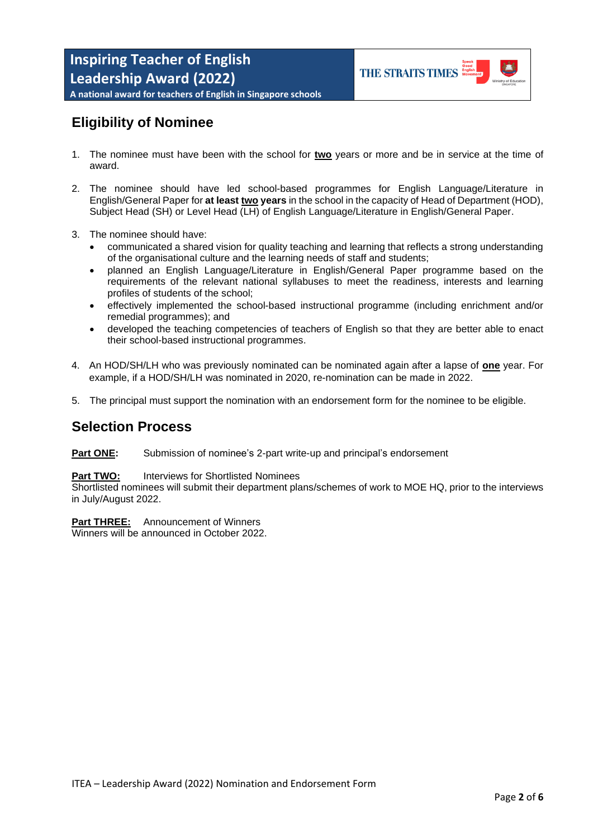

**A national award for teachers of English in Singapore schools**

## **Eligibility of Nominee**

- 1. The nominee must have been with the school for **two** years or more and be in service at the time of award.
- 2. The nominee should have led school-based programmes for English Language/Literature in English/General Paper for **at least two years** in the school in the capacity of Head of Department (HOD), Subject Head (SH) or Level Head (LH) of English Language/Literature in English/General Paper.
- 3. The nominee should have:
	- communicated a shared vision for quality teaching and learning that reflects a strong understanding of the organisational culture and the learning needs of staff and students;
	- planned an English Language/Literature in English/General Paper programme based on the requirements of the relevant national syllabuses to meet the readiness, interests and learning profiles of students of the school;
	- effectively implemented the school-based instructional programme (including enrichment and/or remedial programmes); and
	- developed the teaching competencies of teachers of English so that they are better able to enact their school-based instructional programmes.
- 4. An HOD/SH/LH who was previously nominated can be nominated again after a lapse of **one** year. For example, if a HOD/SH/LH was nominated in 2020, re-nomination can be made in 2022.
- 5. The principal must support the nomination with an endorsement form for the nominee to be eligible.

### **Selection Process**

#### **Part ONE:** Submission of nominee's 2-part write-up and principal's endorsement

#### **Part TWO:** Interviews for Shortlisted Nominees

Shortlisted nominees will submit their department plans/schemes of work to MOE HQ, prior to the interviews in July/August 2022.

#### **Part THREE:** Announcement of Winners

Winners will be announced in October 2022.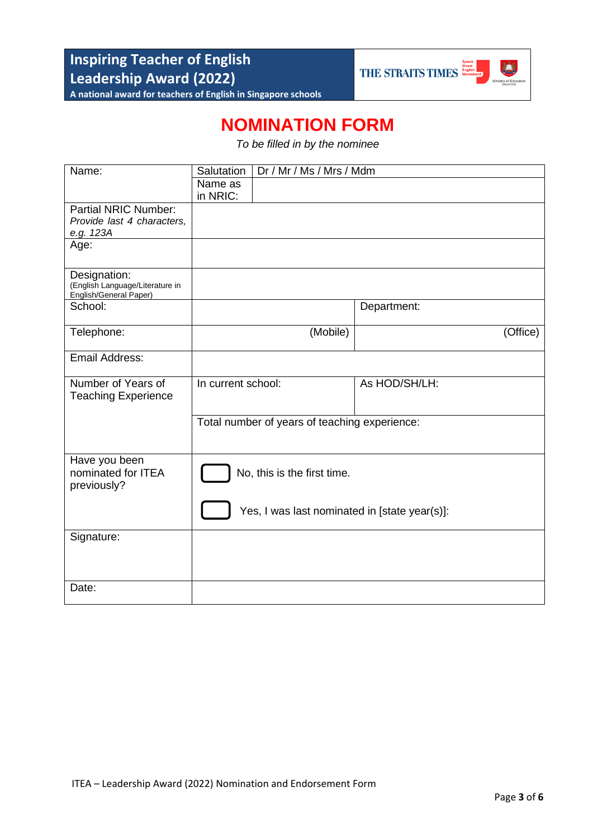

## **NOMINATION FORM**

*To be filled in by the nominee*

| Name:                                                     | Dr / Mr / Ms / Mrs / Mdm<br>Salutation        |          |               |          |  |  |
|-----------------------------------------------------------|-----------------------------------------------|----------|---------------|----------|--|--|
|                                                           | Name as                                       |          |               |          |  |  |
|                                                           | in NRIC:                                      |          |               |          |  |  |
| <b>Partial NRIC Number:</b>                               |                                               |          |               |          |  |  |
| Provide last 4 characters,                                |                                               |          |               |          |  |  |
| e.g. 123A                                                 |                                               |          |               |          |  |  |
| Age:                                                      |                                               |          |               |          |  |  |
| Designation:                                              |                                               |          |               |          |  |  |
| (English Language/Literature in<br>English/General Paper) |                                               |          |               |          |  |  |
| School:                                                   |                                               |          | Department:   |          |  |  |
|                                                           |                                               |          |               |          |  |  |
| Telephone:                                                |                                               | (Mobile) |               | (Office) |  |  |
|                                                           |                                               |          |               |          |  |  |
| <b>Email Address:</b>                                     |                                               |          |               |          |  |  |
| Number of Years of                                        | In current school:                            |          | As HOD/SH/LH: |          |  |  |
| <b>Teaching Experience</b>                                |                                               |          |               |          |  |  |
|                                                           |                                               |          |               |          |  |  |
|                                                           | Total number of years of teaching experience: |          |               |          |  |  |
|                                                           |                                               |          |               |          |  |  |
|                                                           |                                               |          |               |          |  |  |
| Have you been                                             |                                               |          |               |          |  |  |
| nominated for ITEA                                        | No, this is the first time.                   |          |               |          |  |  |
| previously?                                               |                                               |          |               |          |  |  |
|                                                           |                                               |          |               |          |  |  |
|                                                           | Yes, I was last nominated in [state year(s)]: |          |               |          |  |  |
| Signature:                                                |                                               |          |               |          |  |  |
|                                                           |                                               |          |               |          |  |  |
|                                                           |                                               |          |               |          |  |  |
| Date:                                                     |                                               |          |               |          |  |  |
|                                                           |                                               |          |               |          |  |  |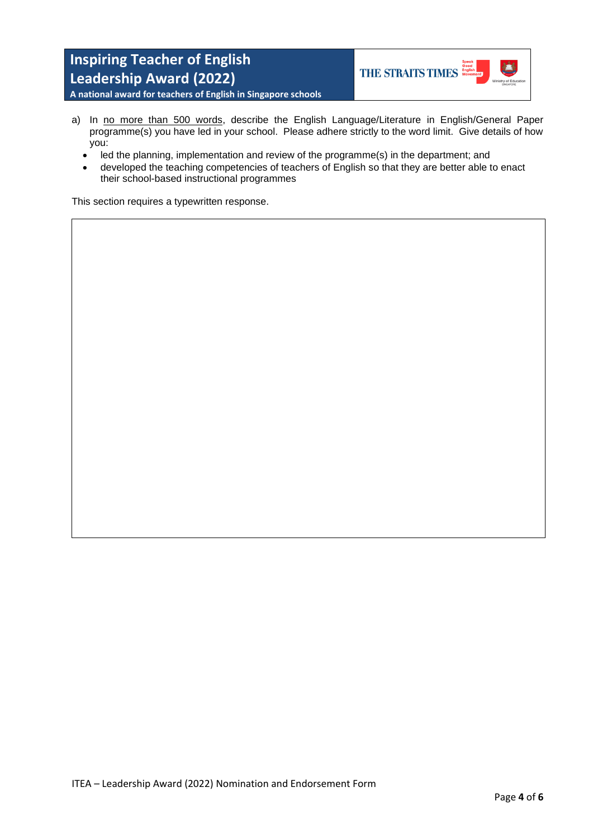

**A national award for teachers of English in Singapore schools**

- a) In no more than 500 words, describe the English Language/Literature in English/General Paper programme(s) you have led in your school. Please adhere strictly to the word limit. Give details of how you:
	- led the planning, implementation and review of the programme(s) in the department; and
	- developed the teaching competencies of teachers of English so that they are better able to enact their school-based instructional programmes

This section requires a typewritten response.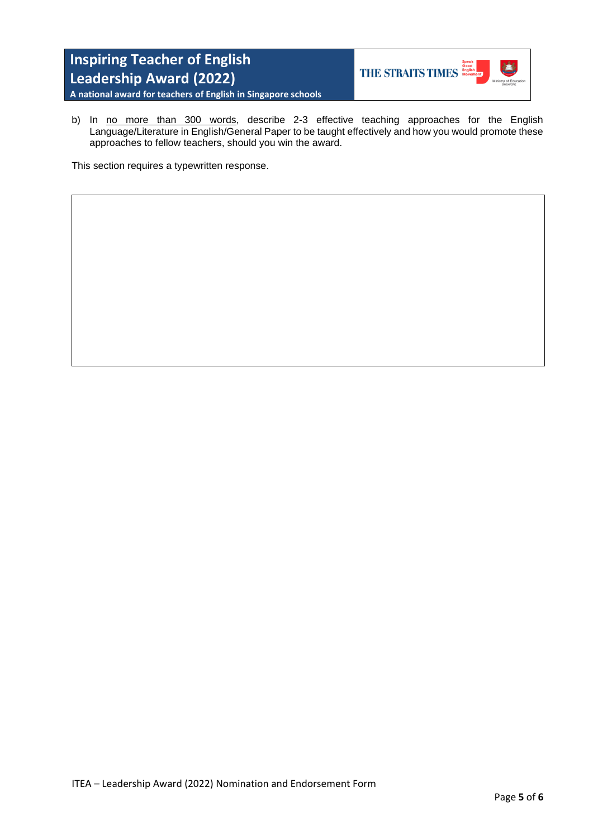

**A national award for teachers of English in Singapore schools**

b) In no more than 300 words, describe 2-3 effective teaching approaches for the English Language/Literature in English/General Paper to be taught effectively and how you would promote these approaches to fellow teachers, should you win the award.

This section requires a typewritten response.